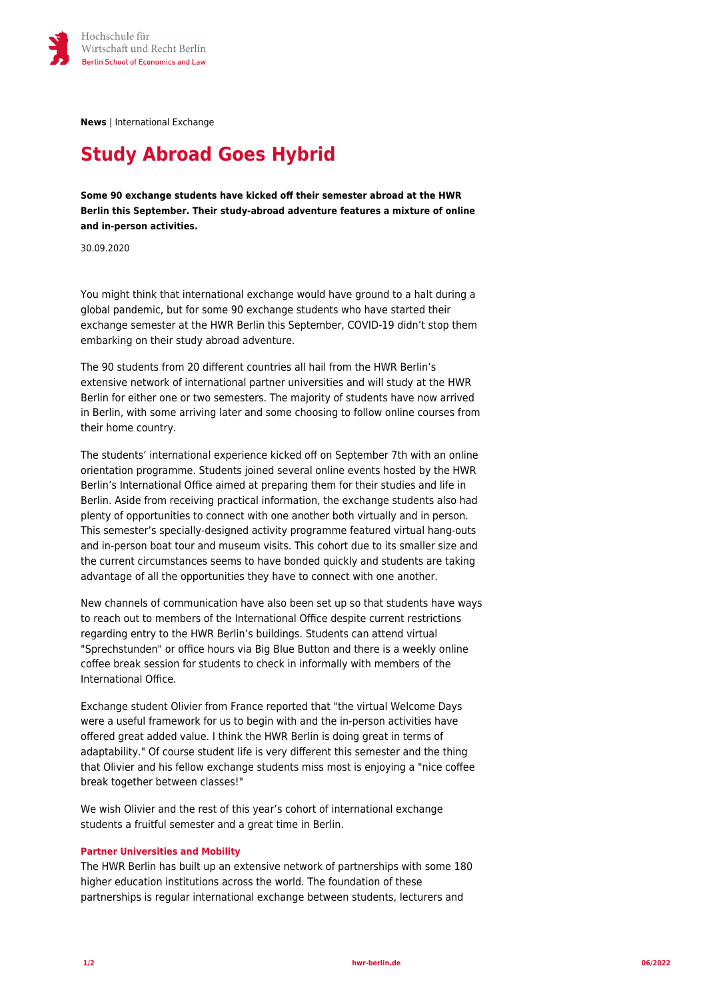

**News** | International Exchange

## **Study Abroad Goes Hybrid**

**Some 90 exchange students have kicked off their semester abroad at the HWR Berlin this September. Their study-abroad adventure features a mixture of online and in-person activities.**

30.09.2020

You might think that international exchange would have ground to a halt during a global pandemic, but for some 90 exchange students who have started their exchange semester at the HWR Berlin this September, COVID-19 didn't stop them embarking on their study abroad adventure.

The 90 students from 20 different countries all hail from the HWR Berlin's extensive network of international partner universities and will study at the HWR Berlin for either one or two semesters. The majority of students have now arrived in Berlin, with some arriving later and some choosing to follow online courses from their home country.

The students' international experience kicked off on September 7th with an online orientation programme. Students joined several online events hosted by the HWR Berlin's International Office aimed at preparing them for their studies and life in Berlin. Aside from receiving practical information, the exchange students also had plenty of opportunities to connect with one another both virtually and in person. This semester's specially-designed activity programme featured virtual hang-outs and in-person boat tour and museum visits. This cohort due to its smaller size and the current circumstances seems to have bonded quickly and students are taking advantage of all the opportunities they have to connect with one another.

New channels of communication have also been set up so that students have ways to reach out to members of the International Office despite current restrictions regarding entry to the HWR Berlin's buildings. Students can attend virtual "Sprechstunden" or office hours via Big Blue Button and there is a weekly online coffee break session for students to check in informally with members of the International Office.

Exchange student Olivier from France reported that "the virtual Welcome Days were a useful framework for us to begin with and the in-person activities have offered great added value. I think the HWR Berlin is doing great in terms of adaptability." Of course student life is very different this semester and the thing that Olivier and his fellow exchange students miss most is enjoying a "nice coffee break together between classes!"

We wish Olivier and the rest of this year's cohort of international exchange students a fruitful semester and a great time in Berlin.

## **Partner Universities and Mobility**

The HWR Berlin has built up an extensive network of partnerships with some 180 higher education institutions across the world. The foundation of these partnerships is regular international exchange between students, lecturers and